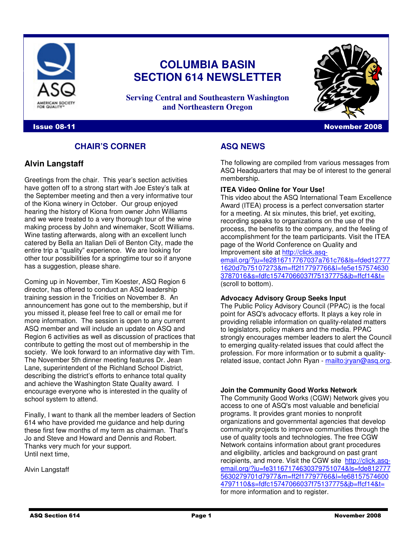

# **COLUMBIA BASIN SECTION 614 NEWSLETTER**

**Serving Central and Southeastern Washington and Northeastern Oregon**

## **Issue 08-11** November 2008

## **CHAIR'S CORNER**

## **Alvin Langstaff**

Greetings from the chair. This year's section activities have gotten off to a strong start with Joe Estey's talk at the September meeting and then a very informative tour of the Kiona winery in October. Our group enjoyed hearing the history of Kiona from owner John Williams and we were treated to a very thorough tour of the wine making process by John and winemaker, Scott Williams. Wine tasting afterwards, along with an excellent lunch catered by Bella an Italian Deli of Benton City, made the entire trip a "quality" experience. We are looking for other tour possibilities for a springtime tour so if anyone has a suggestion, please share.

Coming up in November, Tim Koester, ASQ Region 6 director, has offered to conduct an ASQ leadership training session in the Tricities on November 8. An announcement has gone out to the membership, but if you missed it, please feel free to call or email me for more information. The session is open to any current ASQ member and will include an update on ASQ and Region 6 activities as well as discussion of practices that contribute to getting the most out of membership in the society. We look forward to an informative day with Tim. The November 5th dinner meeting features Dr. Jean Lane, superintendent of the Richland School District, describing the district's efforts to enhance total quality and achieve the Washington State Quality award. I encourage everyone who is interested in the quality of school system to attend.

Finally, I want to thank all the member leaders of Section 614 who have provided me guidance and help during these first few months of my term as chairman. That's Jo and Steve and Howard and Dennis and Robert. Thanks very much for your support. Until next time,

Alvin Langstaff

# **ASQ NEWS**

The following are compiled from various messages from ASQ Headquarters that may be of interest to the general membership.

### **ITEA Video Online for Your Use!**

This video about the ASQ International Team Excellence Award (ITEA) process is a perfect conversation starter for a meeting. At six minutes, this brief, yet exciting, recording speaks to organizations on the use of the process, the benefits to the company, and the feeling of accomplishment for the team participants. Visit the ITEA page of the World Conference on Quality and Improvement site at http://click.asq-

email.org/?ju=fe2816717767037a761c76&ls=fded12777 1620d7b75107273&m=ff2f17797766&l=fe5e157574630 3787016&s=fdfc15747066037f75137775&jb=ffcf14&t= (scroll to bottom).

### **Advocacy Advisory Group Seeks Input**

The Public Policy Advisory Council (PPAC) is the focal point for ASQ's advocacy efforts. It plays a key role in providing reliable information on quality-related matters to legislators, policy makers and the media. PPAC strongly encourages member leaders to alert the Council to emerging quality-related issues that could affect the profession. For more information or to submit a qualityrelated issue, contact John Ryan - mailto: *irvan@asq.org.* 

**Join the Community Good Works Network** 

The Community Good Works (CGW) Network gives you access to one of ASQ's most valuable and beneficial programs. It provides grant monies to nonprofit organizations and governmental agencies that develop community projects to improve communities through the use of quality tools and technologies. The free CGW Network contains information about grant procedures and eligibility, articles and background on past grant recipients, and more. Visit the CGW site http://click.asqemail.org/?ju=fe31167174630379751074&ls=fde812777 5630279701d7977&m=ff2f17797766&l=fe68157574600 4797110&s=fdfc15747066037f75137775&jb=ffcf14&t= for more information and to register.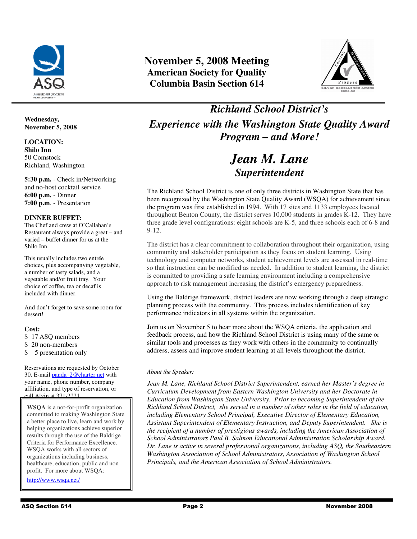

### **Wednesday, November 5, 2008**

**LOCATION: Shilo Inn**  50 Comstock Richland, Washington

**5:30 p.m.** - Check in/Networking and no-host cocktail service **6:00 p.m.** - Dinner **7:00 p.m**. - Presentation

### **DINNER BUFFET:**

The Chef and crew at O'Callahan's Restaurant always provide a great – and varied – buffet dinner for us at the Shilo Inn.

This usually includes two entrée choices, plus accompanying vegetable, a number of tasty salads, and a vegetable and/or fruit tray. Your choice of coffee, tea or decaf is included with dinner.

And don't forget to save some room for dessert!

## **Cost:**

\$ 17 ASQ members

- \$ 20 non-members
- \$ 5 presentation only

Reservations are requested by October 30. E-mail panda\_2@charter.net with your name, phone number, company affiliation, and type of reservation, or call Alvin at 371-2221.

**WSQA** is a not-for-profit organization committed to making Washington State a better place to live, learn and work by helping organizations achieve superior results through the use of the Baldrige Criteria for Performance Excellence. WSQA works with all sectors of organizations including business, healthcare, education, public and non profit. For more about WSQA:

http://www.wsqa.net/

# **November 5, 2008 Meeting American Society for Quality Columbia Basin Section 614**



*Richland School District's Experience with the Washington State Quality Award Program – and More!*

# *Jean M. Lane Superintendent*

The Richland School District is one of only three districts in Washington State that has been recognized by the Washington State Quality Award (WSQA) for achievement since the program was first established in 1994. With 17 sites and 1133 employees located throughout Benton County, the district serves 10,000 students in grades K-12. They have three grade level configurations: eight schools are K-5, and three schools each of 6-8 and 9-12.

The district has a clear commitment to collaboration throughout their organization, using community and stakeholder participation as they focus on student learning. Using technology and computer networks, student achievement levels are assessed in real-time so that instruction can be modified as needed. In addition to student learning, the district is committed to providing a safe learning environment including a comprehensive approach to risk management increasing the district's emergency preparedness.

Using the Baldrige framework, district leaders are now working through a deep strategic planning process with the community. This process includes identification of key performance indicators in all systems within the organization.

Join us on November 5 to hear more about the WSQA criteria, the application and feedback process, and how the Richland School District is using many of the same or similar tools and processes as they work with others in the community to continually address, assess and improve student learning at all levels throughout the district.

## *About the Speaker:*

*Jean M. Lane, Richland School District Superintendent, earned her Master's degree in Curriculum Development from Eastern Washington University and her Doctorate in Education from Washington State University. Prior to becoming Superintendent of the Richland School District, she served in a number of other roles in the field of education, including Elementary School Principal, Executive Director of Elementary Education, Assistant Superintendent of Elementary Instruction, and Deputy Superintendent. She is the recipient of a number of prestigious awards, including the American Association of School Administrators Paul B. Salmon Educational Administration Scholarship Award. Dr. Lane is active in several professional organizations, including ASQ, the Southeastern Washington Association of School Administrators, Association of Washington School Principals, and the American Association of School Administrators.*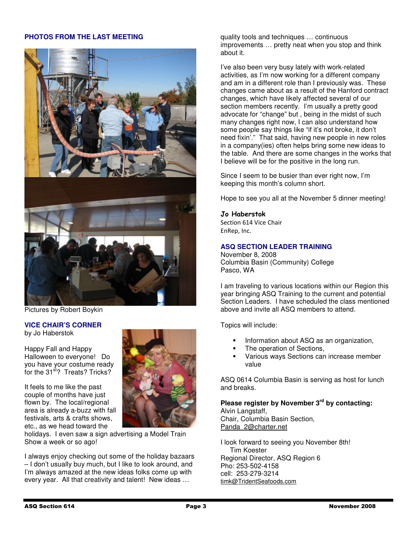## **PHOTOS FROM THE LAST MEETING**



Pictures by Robert Boykin

### **VICE CHAIR'S CORNER**  by Jo Haberstok

Happy Fall and Happy Halloween to everyone! Do you have your costume ready for the 31<sup>st</sup>? Treats? Tricks?

It feels to me like the past couple of months have just flown by. The local/regional area is already a-buzz with fall festivals, arts & crafts shows, etc., as we head toward the



I always enjoy checking out some of the holiday bazaars – I don't usually buy much, but I like to look around, and I'm always amazed at the new ideas folks come up with every year. All that creativity and talent! New ideas …

quality tools and techniques … continuous improvements … pretty neat when you stop and think about it.

I've also been very busy lately with work-related activities, as I'm now working for a different company and am in a different role than I previously was. These changes came about as a result of the Hanford contract changes, which have likely affected several of our section members recently. I'm usually a pretty good advocate for "change" but , being in the midst of such many changes right now, I can also understand how some people say things like "if it's not broke, it don't need fixin'." That said, having new people in new roles in a company(ies) often helps bring some new ideas to the table. And there are some changes in the works that I believe will be for the positive in the long run.

Since I seem to be busier than ever right now, I'm keeping this month's column short.

Hope to see you all at the November 5 dinner meeting!

## Jo Haberstok

Section 614 Vice Chair EnRep, Inc.

## **ASQ SECTION LEADER TRAINING**

November 8, 2008 Columbia Basin (Community) College Pasco, WA

I am traveling to various locations within our Region this year bringing ASQ Training to the current and potential Section Leaders. I have scheduled the class mentioned above and invite all ASQ members to attend.

Topics will include:

- Information about ASQ as an organization,
- The operation of Sections,
- Various ways Sections can increase member value

ASQ 0614 Columbia Basin is serving as host for lunch and breaks.

**Please register by November 3rd by contacting:**  Alvin Langstaff,

Chair, Columbia Basin Section, Panda\_2@charter.net

I look forward to seeing you November 8th! Tim Koester Regional Director, ASQ Region 6 Pho: 253-502-4158 cell: 253-279-3214 timk@TridentSeafoods.com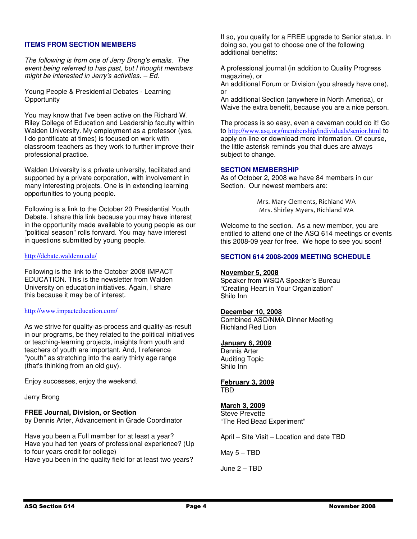## **ITEMS FROM SECTION MEMBERS**

The following is from one of Jerry Brong's emails. The event being referred to has past, but I thought members might be interested in Jerry's activities. – Ed.

Young People & Presidential Debates - Learning **Opportunity** 

You may know that I've been active on the Richard W. Riley College of Education and Leadership faculty within Walden University. My employment as a professor (yes, I do pontificate at times) is focused on work with classroom teachers as they work to further improve their professional practice.

Walden University is a private university, facilitated and supported by a private corporation, with involvement in many interesting projects. One is in extending learning opportunities to young people.

Following is a link to the October 20 Presidential Youth Debate. I share this link because you may have interest in the opportunity made available to young people as our "political season" rolls forward. You may have interest in questions submitted by young people.

#### http://debate.waldenu.edu/

Following is the link to the October 2008 IMPACT EDUCATION. This is the newsletter from Walden University on education initiatives. Again, I share this because it may be of interest.

## http://www.impacteducation.com/

As we strive for quality-as-process and quality-as-result in our programs, be they related to the political initiatives or teaching-learning projects, insights from youth and teachers of youth are important. And, I reference "youth" as stretching into the early thirty age range (that's thinking from an old guy).

Enjoy successes, enjoy the weekend.

Jerry Brong

## **FREE Journal, Division, or Section**

by Dennis Arter, Advancement in Grade Coordinator

Have you been a Full member for at least a year? Have you had ten years of professional experience? (Up to four years credit for college) Have you been in the quality field for at least two years?

If so, you qualify for a FREE upgrade to Senior status. In doing so, you get to choose one of the following additional benefits:

A professional journal (in addition to Quality Progress magazine), or

An additional Forum or Division (you already have one), or

An additional Section (anywhere in North America), or Waive the extra benefit, because you are a nice person.

The process is so easy, even a caveman could do it! Go to http://www.asq.org/membership/individuals/senior.html to apply on-line or download more information. Of course, the little asterisk reminds you that dues are always subject to change.

## **SECTION MEMBERSHIP**

As of October 2, 2008 we have 84 members in our Section. Our newest members are:

> Mrs. Mary Clements, Richland WA Mrs. Shirley Myers, Richland WA

Welcome to the section. As a new member, you are entitled to attend one of the ASQ 614 meetings or events this 2008-09 year for free. We hope to see you soon!

### **SECTION 614 2008-2009 MEETING SCHEDULE**

## **November 5, 2008**

Speaker from WSQA Speaker's Bureau "Creating Heart in Your Organization" Shilo Inn

#### **December 10, 2008**

Combined ASQ/NMA Dinner Meeting Richland Red Lion

#### **January 6, 2009**

Dennis Arter Auditing Topic Shilo Inn

**February 3, 2009** TBD

## **March 3, 2009**

Steve Prevette "The Red Bead Experiment"

April – Site Visit – Location and date TBD

May 5 – TBD

June 2 – TBD